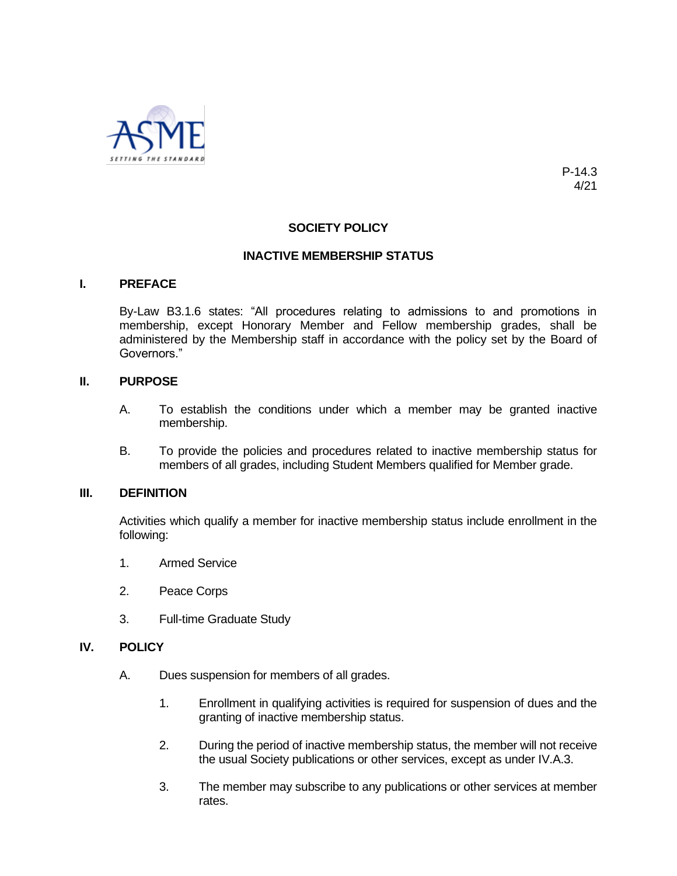

P-14.3 4/21

# **SOCIETY POLICY**

### **INACTIVE MEMBERSHIP STATUS**

#### **I. PREFACE**

By-Law B3.1.6 states: "All procedures relating to admissions to and promotions in membership, except Honorary Member and Fellow membership grades, shall be administered by the Membership staff in accordance with the policy set by the Board of Governors."

#### **II. PURPOSE**

- A. To establish the conditions under which a member may be granted inactive membership.
- B. To provide the policies and procedures related to inactive membership status for members of all grades, including Student Members qualified for Member grade.

### **III. DEFINITION**

Activities which qualify a member for inactive membership status include enrollment in the following:

- 1. Armed Service
- 2. Peace Corps
- 3. Full-time Graduate Study

### **IV. POLICY**

- A. Dues suspension for members of all grades.
	- 1. Enrollment in qualifying activities is required for suspension of dues and the granting of inactive membership status.
	- 2. During the period of inactive membership status, the member will not receive the usual Society publications or other services, except as under IV.A.3.
	- 3. The member may subscribe to any publications or other services at member rates.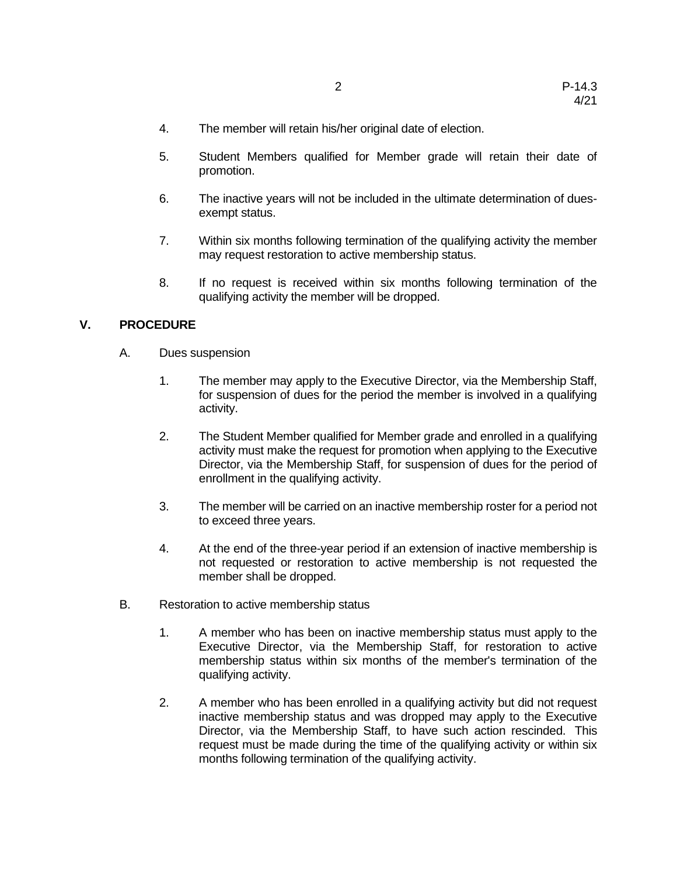- 4. The member will retain his/her original date of election.
- 5. Student Members qualified for Member grade will retain their date of promotion.
- 6. The inactive years will not be included in the ultimate determination of duesexempt status.
- 7. Within six months following termination of the qualifying activity the member may request restoration to active membership status.
- 8. If no request is received within six months following termination of the qualifying activity the member will be dropped.

## **V. PROCEDURE**

- A. Dues suspension
	- 1. The member may apply to the Executive Director, via the Membership Staff, for suspension of dues for the period the member is involved in a qualifying activity.
	- 2. The Student Member qualified for Member grade and enrolled in a qualifying activity must make the request for promotion when applying to the Executive Director, via the Membership Staff, for suspension of dues for the period of enrollment in the qualifying activity.
	- 3. The member will be carried on an inactive membership roster for a period not to exceed three years.
	- 4. At the end of the three-year period if an extension of inactive membership is not requested or restoration to active membership is not requested the member shall be dropped.
- B. Restoration to active membership status
	- 1. A member who has been on inactive membership status must apply to the Executive Director, via the Membership Staff, for restoration to active membership status within six months of the member's termination of the qualifying activity.
	- 2. A member who has been enrolled in a qualifying activity but did not request inactive membership status and was dropped may apply to the Executive Director, via the Membership Staff, to have such action rescinded. This request must be made during the time of the qualifying activity or within six months following termination of the qualifying activity.